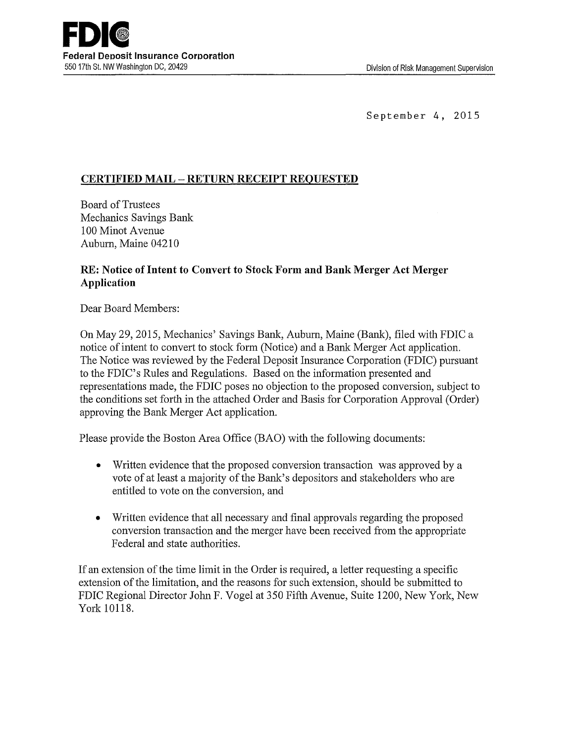September 4, 2015

## **CERTIFIED MAIL- RETURN RECEIPT REQUESTED**

Board of Trustees Mechanics Savings Bank 100 Minot A venue Auburn, Maine 04210

## **RE: Notice of Intent to Convert to Stock Form and Bank Merger Act Merger Application**

Dear Board Members:

On May 29, 2015, Mechanics' Savings Bank, Auburn, Maine (Bank), filed with FDIC a notice of intent to convert to stock form (Notice) and a Bank Merger Act application. The Notice was reviewed by the Federal Deposit Insurance Corporation (FDIC) pursuant to the FDIC's Rules and Regulations. Based on the information presented and representations made, the FDIC poses no objection to the proposed conversion, subject to the conditions set forth in the attached Order and Basis for Corporation Approval (Order) approving the Bank Merger Act application.

Please provide the Boston Area Office (BAO) with the following documents:

- Written evidence that the proposed conversion transaction was approved by a vote of at least a majority of the Bank's depositors and stakeholders who are entitled to vote on the conversion, and
- Written evidence that all necessary and final approvals regarding the proposed conversion transaction and the merger have been received from the appropriate Federal and state authorities.

If an extension of the time limit in the Order is required, a letter requesting a specific extension of the limitation, and the reasons for such extension, should be submitted to FDIC Regional Director John F. Vogel at 350 Fifth Avenue, Suite 1200, New York, New York 10118.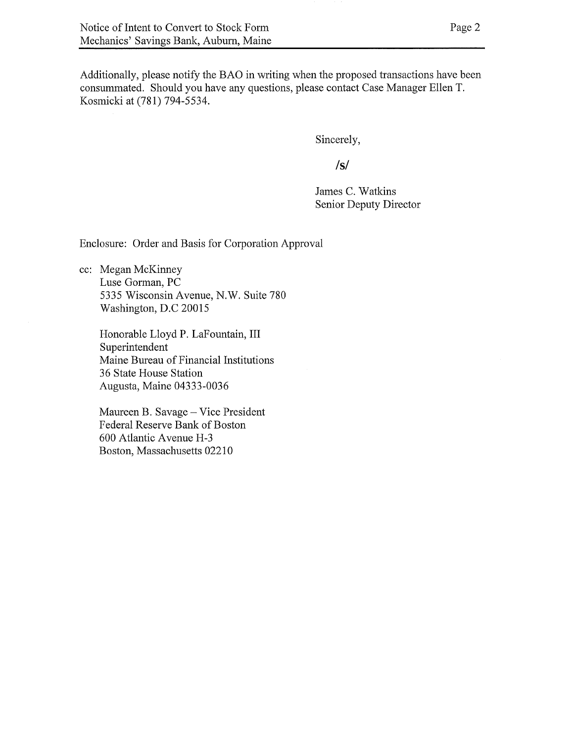Additionally, please notify the BAO in writing when the proposed transactions have been consummated. Should you have any questions; please contact Case Manager Ellen T, Kosmicki at (781) 794-5534.

Sincerely,

**/s/**

James C. Watkins Senior Deputy Director

Enclosure: Order and Basis for Corporation Approval

cc; Megan McKinney Luse Gorman, PC 5335 Wisconsin Avenue, N.W. Suite 780 Washington, D.C 20015

> Honorable Lloyd P. LaFountain, III Superintendent Maine Bureau of Financial Institutions 36 State House Station Augusta, Maine 04333-0036

Maureen B. Savage —Vice President Federal Reserve Bank of Boston 600 Atlantic Avenue H-3 Boston, Massachusetts 02210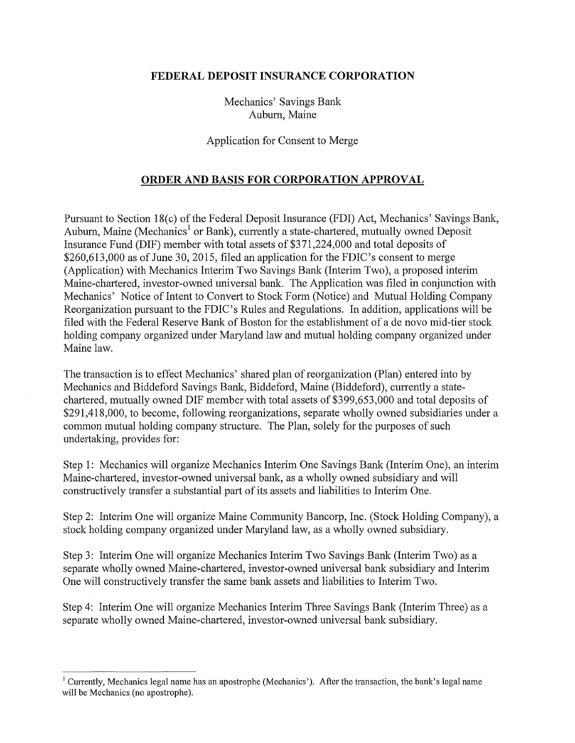## **FEDERAL DEPOSIT INSURANCE CORPORATION**

Mechanics' Savings Bank Auburn, Maine

Application for Consent to Merge

## **ORDER AND BASIS FOR CORPORATION APPROVAL**

Pursuant to Section 18(c) of the Federal Deposit Insurance (FDI) Act, Mechanics' Savings Bank, Auburn, Maine (Mechanics<sup>1</sup> or Bank), currently a state-chartered, mutually owned Deposit Insurance Fund (DIF) member with total assets of \$371,224,000 and total deposits of \$260,613,000 as of June 30, 2015, filed an application for the FDIC's consent to merge (Application) with Mechanics Interim Two Savings Bank (Interim Two), a proposed interim Maine-chartered, investor-owned universal bank. The Application was filed in conjunction with Mechanics' Notice of Intent to Convert to Stock Form (Notice) and Mutual Holding Company Reorganization pursuant to the FDIC's Rules and Regulations. In addition, applications will be filed with the Federal Reserve Bank of Boston for the establishment of a de novo mid-tier stock holding company organized under Maryland law and mutual holding company organized under Maine law.

The transaction is to effect Mechanics' shared plan of reorganization (Plan) entered into by Mechanics and Biddeford Savings Bank, Biddeford, Maine (Biddeford), currently a statechartered, mutually owned DIF member with total assets of \$399,653,000 and total deposits of \$291,418,000, to become, following reorganizations, separate wholly owned subsidiaries under a common mutual holding company structure. The Plan, solely for the purposes of such undertaking, provides for:

Step 1: Mechanics will organize Mechanics Interim One Savings Banlc (Interim One), an interim Maine-chartered, investor-owned universal bank, as a wholly owned subsidiary and will constructively transfer a substantial part of its assets and liabilities to Interim One.

Step 2: Interim One will organize Maine Community Bancorp, Inc. (Stock Holding Company), a stock holding company organized under Maryland law, as a wholly owned subsidiary.

Step 3: Interim One will organize Mechanics Interim Two Savings Bank (Interim Two) as a separate wholly owned Maine-chartered, investor-owned universal bank subsidiary and Interim One will constructively transfer the same banlc assets and liabilities to Interim Two.

Step 4: Interim One will organize Mechanics Interim Three Savings Bank (Interim Three) as a separate wholly owned Maine-chartered, investor-owned universal bank subsidiary.

<sup>&</sup>lt;sup>1</sup> Currently, Mechanics legal name has an apostrophe (Mechanics'). After the transaction, the bank's legal name will be Mechanics (no apostrophe).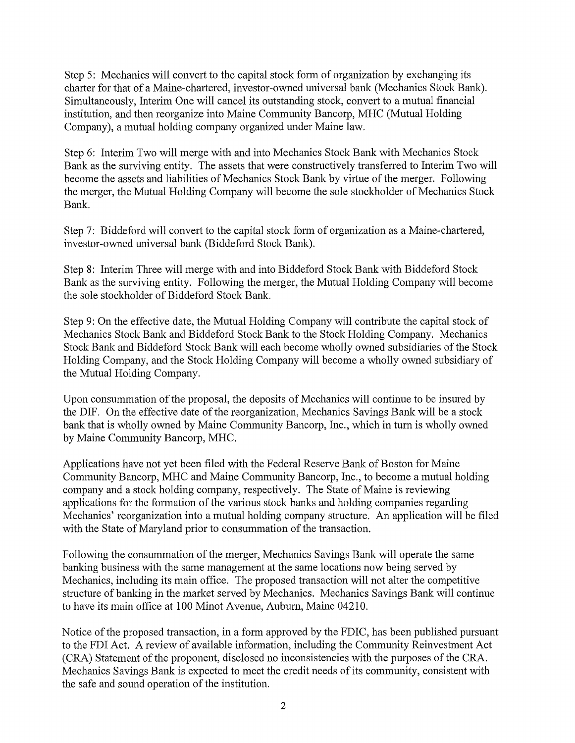Step 5: Mechanics will convert to the capital stock form of organization by exchanging its charter for that of a Maine-chartered, investor-owned universal bank (Mechanics Stock Bank). Simultaneously, Interim One will cancel its outstanding stock, convert to a mutual financial institution, and then reorganize into Maine Community Bancorp, MHC (Mutual Holding Company), a mutual holding company organized under Maine law.

Step 6: Interim Two will merge with and into Mechanics Stock Bank with Mechanics Stock Bank as the surviving entity. The assets that were constructively transferred to Interim Two will become the assets and liabilities of Mechanics Stock Bank by virtue of the merger. Following the merger, the Mutual Holding Company will become the sole stockholder of Mechanics Stock Bank.

Step 7: Biddeford will convert to the capital stock form of organization as a Maine-chartered, investor-owned universal bank (Biddeford Stock Bank).

Step 8: Interim Three will merge with and into Biddeford Stock Bank with Biddeford Stock Bank as the surviving entity. Following the merger, the Mutual Holding Company will become the sole stockholder of Biddeford Stock Banlc

Step 9: On the effective date, the Mutual Holding Company will contribute the capital stock of Mechanics Stock Bank and Biddeford Stock Bank to the Stock Holding Company. Mechanics Stock Bank and Biddeford Stock Bank will each become wholly owned subsidiaries of the Stock Holding Company, and the Stock Holding Company will become a wholly owned subsidiary of the Mutual Holding Company.

Upon consummation of the proposal, the deposits of Mechanics will continue to be insured by the DIF. On the effective date of the reorganization, Mechanics Savings Bank will be a stock bank that is wholly owned by Maine Community Bancorp, Inc., which in turn is wholly owned by Maine Community Bancorp, MHC.

Applications have not yet been filed with the Federal Reserve Bank of Boston for Maine Community Bancorp, MHC and Maine Community Bancorp, Inc., to become a mutual holding company and a stock holding company, respectively. The State of Maine is reviewing applications for the formation of the various stock banks and holding companies regarding Mechanics' reorganization into a mutual holding company structure. An application will be filed with the State of Maryland prior to consummation of the transaction.

Following the consummation of the merger, Mechanics Savings Bank will operate the same banking business with the same management at the same locations now being served by Mechanics, including its main office. The proposed transaction will not alter the competitive structure of banking in the market served by Mechanics. Mechanics Savings Bank will continue to have its main office at 100 Minot Avenue, Auburn, Maine 04210.

Notice of the proposed transaction, in a form approved by the FDIC, has been published pursuant to the FDI Act. A review of available information, including the Community Reinvestment Act (CRA) Statement of the proponent, disclosed no inconsistencies with the purposes of the CRA. Mechanics Savings Bank is expected to meet the credit needs of its community, consistent with the safe and sound operation of the institution.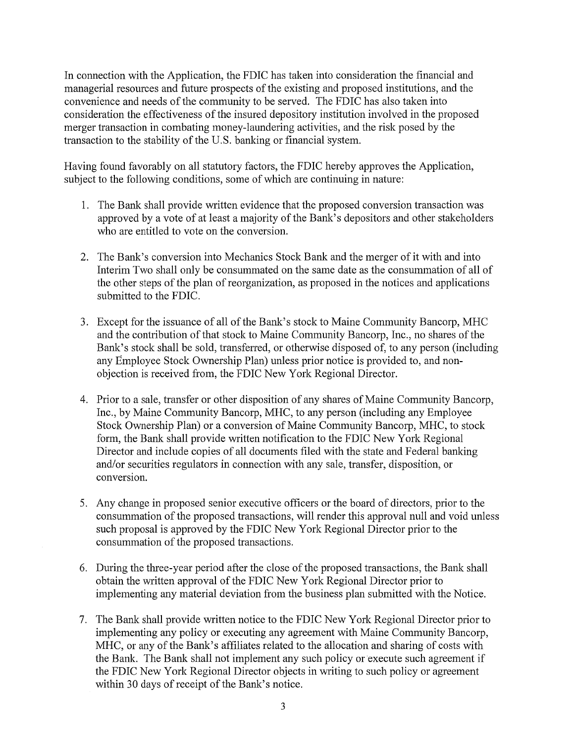In connection with the Application, the FDIC has taken into consideration the financial and managerial resources and future prospects of the existing and proposed institutions, and the convenience and needs of the community to be served. The FDIC has also taken into consideration the effectiveness of the insured depository institution involved in the proposed merger transaction in combating money-laundering activities, and the risk posed by the transaction to the stability of the U.S. banking or financial system.

Having found favorably on all statutory factors, the FDIC hereby approves the Application, subject to the following conditions, some of which are continuing in nature:

- 1. The Bank shall provide written evidence that the proposed conversion transaction was approved by a vote of at least a majority of the Bank's depositors and other stakeholders who are entitled to vote on the conversion.
- 2. The Bank's conversion into Mechanics Stock Bank and the merger of it with and into Interim Two shall only be consummated on the same date as the consummation of all of the other steps of the plan of reorganization, as proposed in the notices and applications submitted to the FDIC.
- 3. Except for the issuance of all of the Bank's stock to Maine Community Bancorp, MHC and the contribution of that stock to Maine Community Bancorp, Inc., no shares of the Bank's stock shall be sold, transferred, or otherwise disposed of, to any person (including any Employee Stock Ownership Plan) unless prior notice is provided to, and nonobjection is received from, the FDIC New York Regional Director.
- 4. Prior to a sale, transfer or other disposition of any shares of Maine Community Bancorp, Inc., by Maine Community Bancorp, MHC, to any person (including any Employee Stock Ownership Plan) or a conversion of Maine Community Bancorp, MHC, to stock form, the Bank shall provide written notification to the FDIC New York Regional Director and include copies of all documents filed with the state and Federal banking and/or securities regulators in connection with any sale, transfer, disposition, or conversion.
- 5. Any change in proposed senior executive officers or the board of directors, prior to the consummation of the proposed transactions, will render this approval null and void unless such proposal is approved by the FDIC New York Regional Director prior to the consummation of the proposed transactions.
- 6. During the three-year period after the close of the proposed transactions, the Bank shall obtain the written approval of the FDIC New York Regional Director prior to implementing any material deviation from the business plan submitted with the Notice.
- 7. The Bank shall provide written notice to the FDIC New York Regional Director prior to implementing any policy or executing any agreement with Maine Community Bancorp, MHC, or any of the Bank's affiliates related to the allocation and sharing of costs with the Bank. The Bank shall not implement any such policy or execute such agreement if the FDIC New York Regional Director objects in writing to such policy or agreement within 30 days of receipt of the Bank's notice.